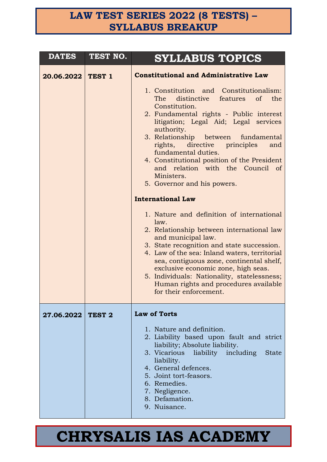### **LAW TEST SERIES 2022 (8 TESTS) – SYLLABUS BREAKUP**

| <b>DATES</b>      | TEST NO. | <b>SYLLABUS TOPICS</b>                                                                                                                                                                                                                                                                                                                                                                                                                                                                                                                                                                                                                                                                                                                                                                                                                                                                                                                          |
|-------------------|----------|-------------------------------------------------------------------------------------------------------------------------------------------------------------------------------------------------------------------------------------------------------------------------------------------------------------------------------------------------------------------------------------------------------------------------------------------------------------------------------------------------------------------------------------------------------------------------------------------------------------------------------------------------------------------------------------------------------------------------------------------------------------------------------------------------------------------------------------------------------------------------------------------------------------------------------------------------|
| 20.06.2022 TEST 1 |          | <b>Constitutional and Administrative Law</b><br>1. Constitution and Constitutionalism:<br>distinctive features<br>The<br>of the<br>Constitution.<br>2. Fundamental rights - Public interest<br>litigation; Legal Aid; Legal services<br>authority.<br>3. Relationship between fundamental<br>rights, directive principles<br>and<br>fundamental duties.<br>4. Constitutional position of the President<br>and relation with the Council of<br>Ministers.<br>5. Governor and his powers.<br><b>International Law</b><br>1. Nature and definition of international<br>law.<br>2. Relationship between international law<br>and municipal law.<br>3. State recognition and state succession.<br>4. Law of the sea: Inland waters, territorial<br>sea, contiguous zone, continental shelf,<br>exclusive economic zone, high seas.<br>5. Individuals: Nationality, statelessness;<br>Human rights and procedures available<br>for their enforcement. |
| 27.06.2022 TEST 2 |          | <b>Law of Torts</b><br>1. Nature and definition.<br>2. Liability based upon fault and strict<br>liability; Absolute liability.<br>3. Vicarious liability including<br><b>State</b><br>liability.<br>4. General defences.<br>5. Joint tort-feasors.<br>6. Remedies.<br>7. Negligence.<br>8. Defamation.<br>9. Nuisance.                                                                                                                                                                                                                                                                                                                                                                                                                                                                                                                                                                                                                          |

### **CHRYSALIS IAS ACADEMY**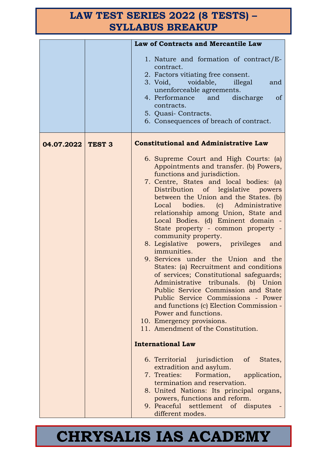### **LAW TEST SERIES 2022 (8 TESTS) – SYLLABUS BREAKUP**

|                   | Law of Contracts and Mercantile Law                                                                                                                                                                                                                                                                                                                                                                                                                                                                                                                                                                                                                                                                                                                                                                                                                                                                                                                                                                                                                                                                                                                                                                    |
|-------------------|--------------------------------------------------------------------------------------------------------------------------------------------------------------------------------------------------------------------------------------------------------------------------------------------------------------------------------------------------------------------------------------------------------------------------------------------------------------------------------------------------------------------------------------------------------------------------------------------------------------------------------------------------------------------------------------------------------------------------------------------------------------------------------------------------------------------------------------------------------------------------------------------------------------------------------------------------------------------------------------------------------------------------------------------------------------------------------------------------------------------------------------------------------------------------------------------------------|
|                   | 1. Nature and formation of contract/E-<br>contract.<br>2. Factors vitiating free consent.<br>3. Void, voidable,<br>illegal<br>and<br>unenforceable agreements.<br>4. Performance<br>and<br>discharge<br><sub>of</sub><br>contracts.<br>5. Quasi-Contracts.<br>6. Consequences of breach of contract.                                                                                                                                                                                                                                                                                                                                                                                                                                                                                                                                                                                                                                                                                                                                                                                                                                                                                                   |
| 04.07.2022 TEST 3 | <b>Constitutional and Administrative Law</b>                                                                                                                                                                                                                                                                                                                                                                                                                                                                                                                                                                                                                                                                                                                                                                                                                                                                                                                                                                                                                                                                                                                                                           |
|                   | 6. Supreme Court and High Courts: (a)<br>Appointments and transfer. (b) Powers,<br>functions and jurisdiction.<br>7. Centre, States and local bodies: (a)<br>Distribution of legislative powers<br>between the Union and the States. (b)<br>Local bodies. (c) Administrative<br>relationship among Union, State and<br>Local Bodies. (d) Eminent domain -<br>State property - common property -<br>community property.<br>8. Legislative powers, privileges<br>and<br>immunities.<br>9. Services under the Union and the<br>States: (a) Recruitment and conditions<br>of services; Constitutional safeguards;<br>Administrative tribunals. (b) Union<br>Public Service Commission and State<br>Public Service Commissions - Power<br>and functions (c) Election Commission -<br>Power and functions.<br>10. Emergency provisions.<br>11. Amendment of the Constitution.<br><b>International Law</b><br>6. Territorial jurisdiction<br>$\sigma$<br>States,<br>extradition and asylum.<br>Formation, application,<br>7. Treaties:<br>termination and reservation.<br>8. United Nations: Its principal organs,<br>powers, functions and reform.<br>9. Peaceful settlement of disputes<br>different modes. |

## **CHRYSALIS IAS ACADEMY**